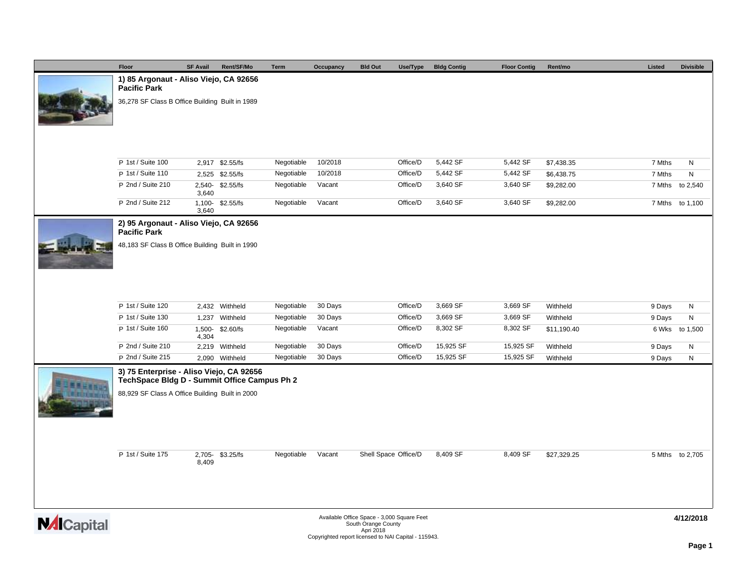|                    | Floor                                                                                    | <b>SF Avail</b> | Rent/SF/Mo      | <b>Term</b> | Occupancy | <b>Bld Out</b><br>Use/Type                                                     | <b>Bldg Contig</b> | <b>Floor Contig</b> | Rent/mo     | Listed | <b>Divisible</b> |
|--------------------|------------------------------------------------------------------------------------------|-----------------|-----------------|-------------|-----------|--------------------------------------------------------------------------------|--------------------|---------------------|-------------|--------|------------------|
|                    | 1) 85 Argonaut - Aliso Viejo, CA 92656<br><b>Pacific Park</b>                            |                 |                 |             |           |                                                                                |                    |                     |             |        |                  |
|                    | 36,278 SF Class B Office Building Built in 1989                                          |                 |                 |             |           |                                                                                |                    |                     |             |        |                  |
|                    |                                                                                          |                 |                 |             |           |                                                                                |                    |                     |             |        |                  |
|                    | P 1st / Suite 100                                                                        |                 | 2,917 \$2.55/fs | Negotiable  | 10/2018   | Office/D                                                                       | 5,442 SF           | 5,442 SF            | \$7,438.35  | 7 Mths | ${\sf N}$        |
|                    | P 1st / Suite 110                                                                        |                 | 2,525 \$2.55/fs | Negotiable  | 10/2018   | Office/D                                                                       | 5,442 SF           | 5,442 SF            | \$6,438.75  | 7 Mths | N                |
|                    | P 2nd / Suite 210                                                                        | 3,640           | 2,540-\$2.55/fs | Negotiable  | Vacant    | Office/D                                                                       | 3,640 SF           | 3,640 SF            | \$9,282.00  | 7 Mths | to 2,540         |
|                    | P 2nd / Suite 212                                                                        | 3,640           | 1,100-\$2.55/fs | Negotiable  | Vacant    | Office/D                                                                       | 3,640 SF           | 3,640 SF            | \$9,282.00  |        | 7 Mths to 1,100  |
|                    | 2) 95 Argonaut - Aliso Viejo, CA 92656<br><b>Pacific Park</b>                            |                 |                 |             |           |                                                                                |                    |                     |             |        |                  |
|                    | 48,183 SF Class B Office Building Built in 1990                                          |                 |                 |             |           |                                                                                |                    |                     |             |        |                  |
|                    | P 1st / Suite 120                                                                        |                 | 2,432 Withheld  | Negotiable  | 30 Days   | Office/D                                                                       | 3,669 SF           | 3,669 SF            | Withheld    | 9 Days | N                |
|                    | P 1st / Suite 130                                                                        |                 | 1,237 Withheld  | Negotiable  | 30 Days   | Office/D                                                                       | 3,669 SF           | 3,669 SF            | Withheld    | 9 Days | N                |
|                    | P 1st / Suite 160                                                                        | 4,304           | 1,500-\$2.60/fs | Negotiable  | Vacant    | Office/D                                                                       | 8,302 SF           | 8,302 SF            | \$11,190.40 |        | 6 Wks to 1,500   |
|                    | P 2nd / Suite 210                                                                        |                 | 2,219 Withheld  | Negotiable  | 30 Days   | Office/D                                                                       | 15,925 SF          | 15,925 SF           | Withheld    | 9 Days | N                |
|                    | P 2nd / Suite 215                                                                        |                 | 2,090 Withheld  | Negotiable  | 30 Days   | Office/D                                                                       | 15,925 SF          | 15,925 SF           | Withheld    | 9 Days | N                |
|                    | 3) 75 Enterprise - Aliso Viejo, CA 92656<br>TechSpace Bldg D - Summit Office Campus Ph 2 |                 |                 |             |           |                                                                                |                    |                     |             |        |                  |
|                    | 88,929 SF Class A Office Building Built in 2000                                          |                 |                 |             |           |                                                                                |                    |                     |             |        |                  |
|                    | P 1st / Suite 175                                                                        | 8,409           | 2,705-\$3.25/fs | Negotiable  | Vacant    | Shell Space Office/D                                                           | 8,409 SF           | 8,409 SF            | \$27,329.25 |        | 5 Mths to 2,705  |
| <b>NAI</b> Capital |                                                                                          |                 |                 |             |           | Available Office Space - 3,000 Square Feet<br>South Orange County<br>Apri 2018 |                    |                     |             |        | 4/12/2018        |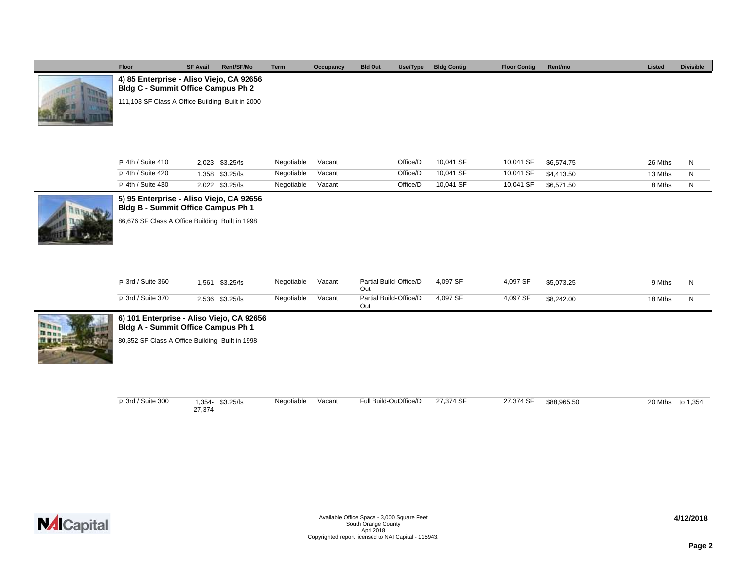|                    | Floor                                                                           | <b>SF Avail</b> | Rent/SF/Mo                         | <b>Term</b>              | Occupancy        | <b>Bld Out</b><br>Use/Type                                                                                                             | <b>Bldg Contig</b>     | <b>Floor Contig</b>    | Rent/mo                  | Listed            | <b>Divisible</b> |
|--------------------|---------------------------------------------------------------------------------|-----------------|------------------------------------|--------------------------|------------------|----------------------------------------------------------------------------------------------------------------------------------------|------------------------|------------------------|--------------------------|-------------------|------------------|
|                    | 4) 85 Enterprise - Aliso Viejo, CA 92656<br>Bldg C - Summit Office Campus Ph 2  |                 |                                    |                          |                  |                                                                                                                                        |                        |                        |                          |                   |                  |
|                    | 111,103 SF Class A Office Building Built in 2000                                |                 |                                    |                          |                  |                                                                                                                                        |                        |                        |                          |                   |                  |
|                    |                                                                                 |                 |                                    |                          |                  |                                                                                                                                        |                        |                        |                          |                   |                  |
|                    | P 4th / Suite 410<br>P 4th / Suite 420                                          |                 | 2,023 \$3.25/fs                    | Negotiable               | Vacant           | Office/D                                                                                                                               | 10,041 SF<br>10,041 SF | 10,041 SF              | \$6,574.75               | 26 Mths           | N                |
|                    | P 4th / Suite 430                                                               |                 | 1,358 \$3.25/fs<br>2,022 \$3.25/fs | Negotiable<br>Negotiable | Vacant<br>Vacant | Office/D<br>Office/D                                                                                                                   | 10,041 SF              | 10,041 SF<br>10,041 SF | \$4,413.50<br>\$6,571.50 | 13 Mths<br>8 Mths | ${\sf N}$<br>N   |
|                    | 5) 95 Enterprise - Aliso Viejo, CA 92656<br>Bldg B - Summit Office Campus Ph 1  |                 |                                    |                          |                  |                                                                                                                                        |                        |                        |                          |                   |                  |
|                    | 86,676 SF Class A Office Building Built in 1998                                 |                 |                                    |                          |                  |                                                                                                                                        |                        |                        |                          |                   |                  |
|                    | P 3rd / Suite 360<br>P 3rd / Suite 370                                          |                 | 1,561 \$3.25/fs                    | Negotiable               | Vacant           | Partial Build-Office/D<br>Out<br>Partial Build-Office/D                                                                                | 4,097 SF               | 4,097 SF               | \$5,073.25               | 9 Mths            | ${\sf N}$        |
|                    |                                                                                 |                 | 2,536 \$3.25/fs                    | Negotiable               | Vacant           | Out                                                                                                                                    | 4,097 SF               | 4,097 SF               | \$8,242.00               | 18 Mths           | N                |
|                    | 6) 101 Enterprise - Aliso Viejo, CA 92656<br>Bldg A - Summit Office Campus Ph 1 |                 |                                    |                          |                  |                                                                                                                                        |                        |                        |                          |                   |                  |
|                    | 80,352 SF Class A Office Building Built in 1998                                 |                 |                                    |                          |                  |                                                                                                                                        |                        |                        |                          |                   |                  |
|                    | P 3rd / Suite 300                                                               | 27,374          | 1,354- \$3.25/fs                   | Negotiable               | Vacant           | Full Build-OuOffice/D                                                                                                                  | 27,374 SF              | 27,374 SF              | \$88,965.50              |                   | 20 Mths to 1,354 |
|                    |                                                                                 |                 |                                    |                          |                  |                                                                                                                                        |                        |                        |                          |                   |                  |
| <b>NAI</b> Capital |                                                                                 |                 |                                    |                          |                  | Available Office Space - 3,000 Square Feet<br>South Orange County<br>Apri 2018<br>Copyrighted report licensed to NAI Capital - 115943. |                        |                        |                          |                   | 4/12/2018        |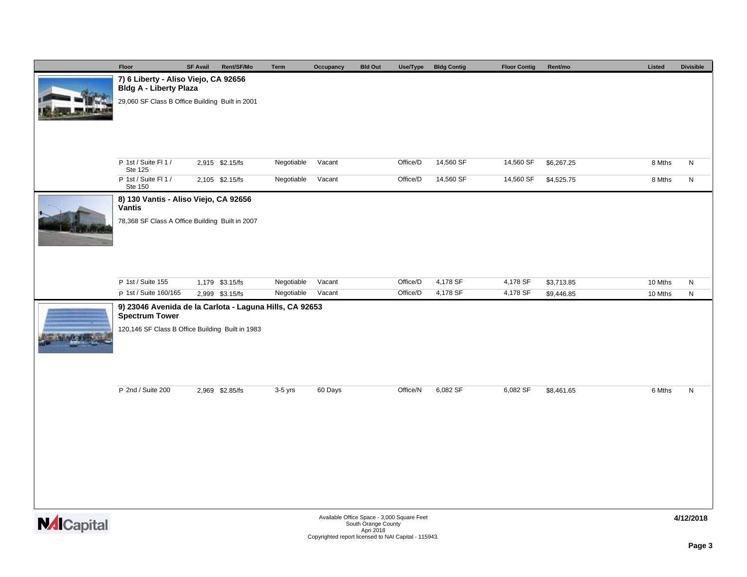|                 | Floor                                                                            | <b>SF Avail</b> | Rent/SF/Mo      | Term       | Occupancy | <b>Bld Out</b>                             | Use/Type | <b>Bldg Contig</b> | <b>Floor Contig</b> | Rent/mo    | Listed  | <b>Divisible</b> |
|-----------------|----------------------------------------------------------------------------------|-----------------|-----------------|------------|-----------|--------------------------------------------|----------|--------------------|---------------------|------------|---------|------------------|
|                 | 7) 6 Liberty - Aliso Viejo, CA 92656                                             |                 |                 |            |           |                                            |          |                    |                     |            |         |                  |
|                 | Bldg A - Liberty Plaza<br>29,060 SF Class B Office Building Built in 2001        |                 |                 |            |           |                                            |          |                    |                     |            |         |                  |
|                 |                                                                                  |                 |                 |            |           |                                            |          |                    |                     |            |         |                  |
|                 |                                                                                  |                 |                 |            |           |                                            |          |                    |                     |            |         |                  |
|                 |                                                                                  |                 |                 |            |           |                                            |          |                    |                     |            |         |                  |
|                 |                                                                                  |                 |                 |            |           |                                            |          |                    |                     |            |         |                  |
|                 | P 1st / Suite FI 1 /<br>Ste 125                                                  |                 | 2,915 \$2.15/fs | Negotiable | Vacant    |                                            | Office/D | 14,560 SF          | 14,560 SF           | \$6,267.25 | 8 Mths  | N                |
|                 | P 1st / Suite FI 1 /<br>Ste 150                                                  |                 | 2,105 \$2.15/fs | Negotiable | Vacant    |                                            | Office/D | 14,560 SF          | 14,560 SF           | \$4,525.75 | 8 Mths  | $\mathsf{N}$     |
|                 | 8) 130 Vantis - Aliso Viejo, CA 92656                                            |                 |                 |            |           |                                            |          |                    |                     |            |         |                  |
|                 | Vantis                                                                           |                 |                 |            |           |                                            |          |                    |                     |            |         |                  |
|                 | 78,368 SF Class A Office Building Built in 2007                                  |                 |                 |            |           |                                            |          |                    |                     |            |         |                  |
|                 |                                                                                  |                 |                 |            |           |                                            |          |                    |                     |            |         |                  |
|                 |                                                                                  |                 |                 |            |           |                                            |          |                    |                     |            |         |                  |
|                 |                                                                                  |                 |                 |            |           |                                            |          |                    |                     |            |         |                  |
|                 | P 1st / Suite 155                                                                |                 | 1,179 \$3.15/fs | Negotiable | Vacant    |                                            | Office/D | 4,178 SF           | 4,178 SF            | \$3,713.85 | 10 Mths | N                |
|                 | P 1st / Suite 160/165                                                            |                 | 2,999 \$3.15/fs | Negotiable | Vacant    |                                            | Office/D | 4,178 SF           | 4,178 SF            | \$9,446.85 | 10 Mths | N                |
|                 | 9) 23046 Avenida de la Carlota - Laguna Hills, CA 92653<br><b>Spectrum Tower</b> |                 |                 |            |           |                                            |          |                    |                     |            |         |                  |
|                 | 120,146 SF Class B Office Building Built in 1983                                 |                 |                 |            |           |                                            |          |                    |                     |            |         |                  |
|                 |                                                                                  |                 |                 |            |           |                                            |          |                    |                     |            |         |                  |
|                 |                                                                                  |                 |                 |            |           |                                            |          |                    |                     |            |         |                  |
|                 |                                                                                  |                 |                 |            |           |                                            |          |                    |                     |            |         |                  |
|                 | P 2nd / Suite 200                                                                |                 | 2,969 \$2.85/fs | $3-5$ yrs  | 60 Days   |                                            | Office/N | 6,082 SF           | 6,082 SF            | \$8,461.65 | 6 Mths  | N                |
|                 |                                                                                  |                 |                 |            |           |                                            |          |                    |                     |            |         |                  |
|                 |                                                                                  |                 |                 |            |           |                                            |          |                    |                     |            |         |                  |
|                 |                                                                                  |                 |                 |            |           |                                            |          |                    |                     |            |         |                  |
|                 |                                                                                  |                 |                 |            |           |                                            |          |                    |                     |            |         |                  |
|                 |                                                                                  |                 |                 |            |           |                                            |          |                    |                     |            |         |                  |
|                 |                                                                                  |                 |                 |            |           |                                            |          |                    |                     |            |         |                  |
|                 |                                                                                  |                 |                 |            |           |                                            |          |                    |                     |            |         |                  |
|                 |                                                                                  |                 |                 |            |           |                                            |          |                    |                     |            |         |                  |
| <b>Material</b> |                                                                                  |                 |                 |            |           | Available Office Space - 3,000 Square Feet |          |                    |                     |            |         | 4/12/2018        |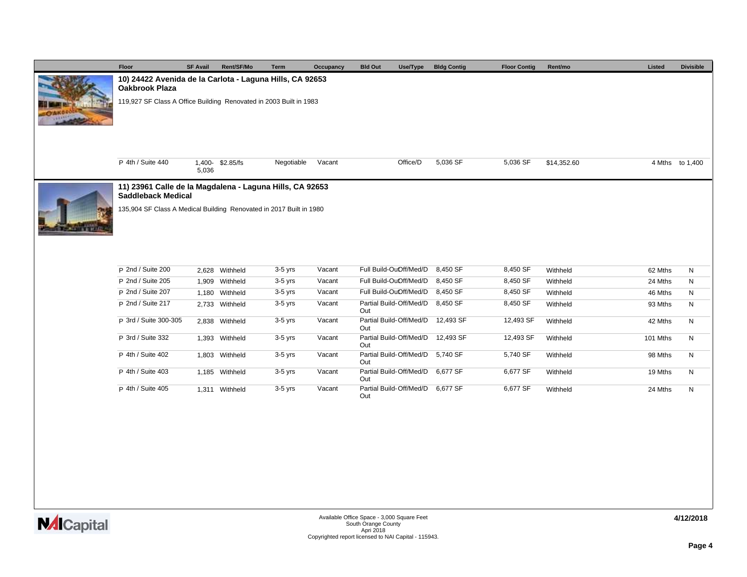| Floor                                                                                 | <b>SF Avail</b> | Rent/SF/Mo      | Term       | Occupancy | <b>Bld Out</b><br>Use/Type     | <b>Bldg Contig</b> | <b>Floor Contig</b> | Rent/mo     | Listed   | <b>Divisible</b> |  |  |
|---------------------------------------------------------------------------------------|-----------------|-----------------|------------|-----------|--------------------------------|--------------------|---------------------|-------------|----------|------------------|--|--|
| 10) 24422 Avenida de la Carlota - Laguna Hills, CA 92653<br><b>Oakbrook Plaza</b>     |                 |                 |            |           |                                |                    |                     |             |          |                  |  |  |
| 119,927 SF Class A Office Building Renovated in 2003 Built in 1983                    |                 |                 |            |           |                                |                    |                     |             |          |                  |  |  |
| P 4th / Suite 440                                                                     | 5,036           | 1,400-\$2.85/fs | Negotiable | Vacant    | Office/D                       | 5,036 SF           | 5,036 SF            | \$14,352.60 |          | 4 Mths to 1,400  |  |  |
| 11) 23961 Calle de la Magdalena - Laguna Hills, CA 92653<br><b>Saddleback Medical</b> |                 |                 |            |           |                                |                    |                     |             |          |                  |  |  |
| 135,904 SF Class A Medical Building Renovated in 2017 Built in 1980                   |                 |                 |            |           |                                |                    |                     |             |          |                  |  |  |
| P 2nd / Suite 200                                                                     |                 | 2,628 Withheld  | $3-5$ yrs  | Vacant    | Full Build-OuOff/Med/D         | 8,450 SF           | 8,450 SF            | Withheld    | 62 Mths  | N                |  |  |
| P 2nd / Suite 205                                                                     |                 | 1,909 Withheld  | $3-5$ yrs  | Vacant    | Full Build-OuOff/Med/D         | 8,450 SF           | 8,450 SF            | Withheld    | 24 Mths  | N                |  |  |
| P 2nd / Suite 207                                                                     |                 | 1,180 Withheld  | $3-5$ yrs  | Vacant    | Full Build-OuOff/Med/D         | 8,450 SF           | 8,450 SF            | Withheld    | 46 Mths  | N                |  |  |
| P 2nd / Suite 217                                                                     |                 | 2,733 Withheld  | $3-5$ yrs  | Vacant    | Partial Build-Off/Med/D<br>Out | 8,450 SF           | 8,450 SF            | Withheld    | 93 Mths  | N                |  |  |
| P 3rd / Suite 300-305                                                                 |                 | 2,838 Withheld  | $3-5$ yrs  | Vacant    | Partial Build-Off/Med/D<br>Out | 12,493 SF          | 12,493 SF           | Withheld    | 42 Mths  | N                |  |  |
| P 3rd / Suite 332                                                                     |                 | 1,393 Withheld  | $3-5$ yrs  | Vacant    | Partial Build-Off/Med/D<br>Out | 12,493 SF          | 12,493 SF           | Withheld    | 101 Mths | N                |  |  |
| P 4th / Suite 402                                                                     |                 | 1,803 Withheld  | $3-5$ yrs  | Vacant    | Partial Build-Off/Med/D<br>Out | 5,740 SF           | 5,740 SF            | Withheld    | 98 Mths  | N                |  |  |
| P 4th / Suite 403                                                                     |                 | 1,185 Withheld  | $3-5$ yrs  | Vacant    | Partial Build-Off/Med/D<br>Out | 6,677 SF           | 6,677 SF            | Withheld    | 19 Mths  | N                |  |  |
| P 4th / Suite 405                                                                     |                 | 1,311 Withheld  | $3-5$ yrs  | Vacant    | Partial Build-Off/Med/D<br>Out | 6,677 SF           | 6,677 SF            | Withheld    | 24 Mths  | N                |  |  |
|                                                                                       |                 |                 |            |           |                                |                    |                     |             |          |                  |  |  |

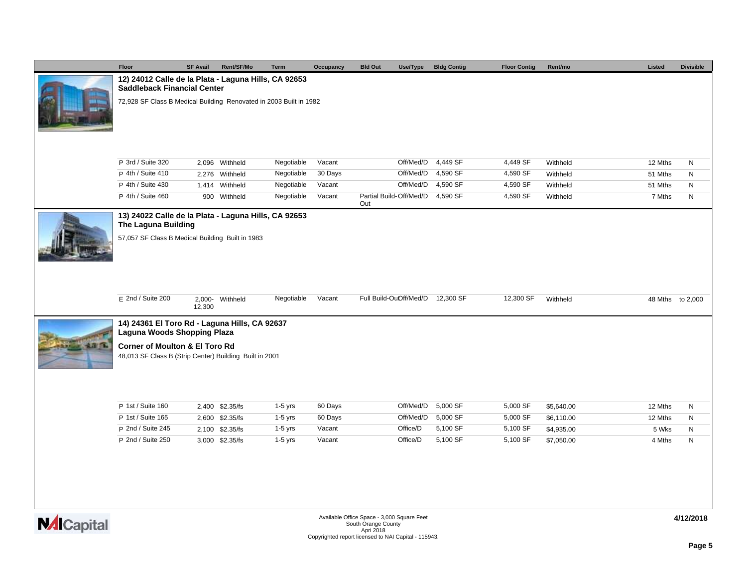|                    | Floor                                                                                                | <b>SF Avail</b> | Rent/SF/Mo      | <b>Term</b> | Occupancy | <b>Bld Out</b><br>Use/Type                                                     | <b>Bldg Contig</b> | <b>Floor Contig</b> | Rent/mo    | Listed           | <b>Divisible</b> |
|--------------------|------------------------------------------------------------------------------------------------------|-----------------|-----------------|-------------|-----------|--------------------------------------------------------------------------------|--------------------|---------------------|------------|------------------|------------------|
|                    | 12) 24012 Calle de la Plata - Laguna Hills, CA 92653<br><b>Saddleback Financial Center</b>           |                 |                 |             |           |                                                                                |                    |                     |            |                  |                  |
|                    | 72,928 SF Class B Medical Building Renovated in 2003 Built in 1982                                   |                 |                 |             |           |                                                                                |                    |                     |            |                  |                  |
|                    | P 3rd / Suite 320                                                                                    |                 | 2,096 Withheld  | Negotiable  | Vacant    | Off/Med/D                                                                      | 4,449 SF           | 4,449 SF            | Withheld   | 12 Mths          | N                |
|                    | P 4th / Suite 410                                                                                    |                 | 2,276 Withheld  | Negotiable  | 30 Days   | Off/Med/D                                                                      | 4,590 SF           | 4,590 SF            | Withheld   | 51 Mths          | N                |
|                    | P 4th / Suite 430                                                                                    |                 | 1,414 Withheld  | Negotiable  | Vacant    | Off/Med/D                                                                      | 4,590 SF           | 4,590 SF            | Withheld   | 51 Mths          | N                |
|                    | P 4th / Suite 460                                                                                    |                 | 900 Withheld    | Negotiable  | Vacant    | Partial Build-Off/Med/D<br>Out                                                 | 4,590 SF           | 4,590 SF            | Withheld   | 7 Mths           | ${\sf N}$        |
|                    | 13) 24022 Calle de la Plata - Laguna Hills, CA 92653<br>The Laguna Building                          |                 |                 |             |           |                                                                                |                    |                     |            |                  |                  |
|                    | 57,057 SF Class B Medical Building Built in 1983                                                     |                 |                 |             |           |                                                                                |                    |                     |            |                  |                  |
|                    | $E$ 2nd / Suite 200                                                                                  | 12,300          | 2,000- Withheld | Negotiable  | Vacant    | Full Build-OuOff/Med/D 12,300 SF                                               |                    | 12,300 SF           | Withheld   | 48 Mths to 2,000 |                  |
|                    | 14) 24361 El Toro Rd - Laguna Hills, CA 92637<br>Laguna Woods Shopping Plaza                         |                 |                 |             |           |                                                                                |                    |                     |            |                  |                  |
|                    | <b>Corner of Moulton &amp; El Toro Rd</b><br>48,013 SF Class B (Strip Center) Building Built in 2001 |                 |                 |             |           |                                                                                |                    |                     |            |                  |                  |
|                    | P 1st / Suite 160                                                                                    |                 | 2,400 \$2.35/fs | $1-5$ yrs   | 60 Days   | Off/Med/D                                                                      | 5,000 SF           | 5,000 SF            | \$5,640.00 | 12 Mths          | ${\sf N}$        |
|                    | P 1st / Suite 165                                                                                    |                 | 2,600 \$2.35/fs | $1-5$ yrs   | 60 Days   | Off/Med/D                                                                      | 5,000 SF           | 5,000 SF            | \$6,110.00 | 12 Mths          | N                |
|                    | P 2nd / Suite 245                                                                                    |                 | 2,100 \$2.35/fs | $1-5$ yrs   | Vacant    | Office/D                                                                       | 5,100 SF           | 5,100 SF            | \$4,935.00 | 5 Wks            | ${\sf N}$        |
|                    | P 2nd / Suite 250                                                                                    |                 | 3,000 \$2.35/fs | $1-5$ yrs   | Vacant    | Office/D                                                                       | 5,100 SF           | 5,100 SF            | \$7,050.00 | 4 Mths           | N                |
| <b>NAI</b> Capital |                                                                                                      |                 |                 |             |           | Available Office Space - 3,000 Square Feet<br>South Orange County<br>Apri 2018 |                    |                     |            |                  | 4/12/2018        |

South Orange County<br>Apri 2018<br>Copyrighted report licensed to NAI Capital - 115943.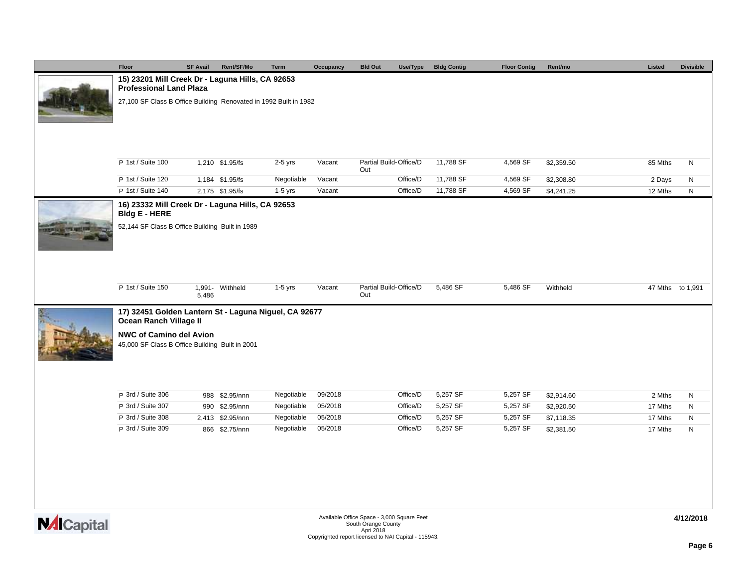|                 | Floor                                                                                                                | <b>SF Avail</b> | Rent/SF/Mo       | Term       | Occupancy | <b>Bld Out</b><br>Use/Type    | <b>Bldg Contig</b> | <b>Floor Contig</b> | Rent/mo    | Listed           | <b>Divisible</b> |
|-----------------|----------------------------------------------------------------------------------------------------------------------|-----------------|------------------|------------|-----------|-------------------------------|--------------------|---------------------|------------|------------------|------------------|
|                 | 15) 23201 Mill Creek Dr - Laguna Hills, CA 92653<br><b>Professional Land Plaza</b>                                   |                 |                  |            |           |                               |                    |                     |            |                  |                  |
|                 | 27,100 SF Class B Office Building Renovated in 1992 Built in 1982                                                    |                 |                  |            |           |                               |                    |                     |            |                  |                  |
|                 |                                                                                                                      |                 |                  |            |           |                               |                    |                     |            |                  |                  |
|                 | P 1st / Suite 100                                                                                                    |                 | 1,210 \$1.95/fs  | $2-5$ yrs  | Vacant    | Partial Build-Office/D<br>Out | 11,788 SF          | 4,569 SF            | \$2,359.50 | 85 Mths          | N                |
|                 | P 1st / Suite 120                                                                                                    |                 | 1,184 \$1.95/fs  | Negotiable | Vacant    | Office/D                      | 11,788 SF          | 4,569 SF            | \$2,308.80 | 2 Days           | ${\sf N}$        |
|                 | P 1st / Suite 140                                                                                                    |                 | 2,175 \$1.95/fs  | $1-5$ yrs  | Vacant    | Office/D                      | 11,788 SF          | 4,569 SF            | \$4,241.25 | 12 Mths          | ${\sf N}$        |
|                 | 16) 23332 Mill Creek Dr - Laguna Hills, CA 92653<br>Bldg E - HERE<br>52,144 SF Class B Office Building Built in 1989 |                 |                  |            |           |                               |                    |                     |            |                  |                  |
|                 | P 1st / Suite 150                                                                                                    | 5,486           | 1,991- Withheld  | $1-5$ yrs  | Vacant    | Partial Build-Office/D<br>Out | 5,486 SF           | 5,486 SF            | Withheld   | 47 Mths to 1,991 |                  |
|                 | 17) 32451 Golden Lantern St - Laguna Niguel, CA 92677                                                                |                 |                  |            |           |                               |                    |                     |            |                  |                  |
|                 | <b>Ocean Ranch Village II</b>                                                                                        |                 |                  |            |           |                               |                    |                     |            |                  |                  |
|                 | <b>NWC of Camino del Avion</b><br>45,000 SF Class B Office Building Built in 2001                                    |                 |                  |            |           |                               |                    |                     |            |                  |                  |
|                 | P 3rd / Suite 306                                                                                                    |                 | 988 \$2.95/nnn   | Negotiable | 09/2018   | Office/D                      | 5,257 SF           | 5,257 SF            | \$2,914.60 | 2 Mths           | N                |
|                 | P 3rd / Suite 307                                                                                                    |                 | 990 \$2.95/nnn   | Negotiable | 05/2018   | Office/D                      | 5,257 SF           | 5,257 SF            | \$2,920.50 | 17 Mths          | N                |
|                 | P 3rd / Suite 308                                                                                                    |                 | 2,413 \$2.95/nnn | Negotiable | 05/2018   | Office/D                      | 5,257 SF           | 5,257 SF            | \$7,118.35 | 17 Mths          | N                |
|                 | P 3rd / Suite 309                                                                                                    |                 | 866 \$2.75/nnn   | Negotiable | 05/2018   | Office/D                      | 5,257 SF           | 5,257 SF            | \$2,381.50 | 17 Mths          | ${\sf N}$        |
|                 |                                                                                                                      |                 |                  |            |           |                               |                    |                     |            |                  |                  |
| <b>Material</b> |                                                                                                                      |                 |                  | 4/12/2018  |           |                               |                    |                     |            |                  |                  |

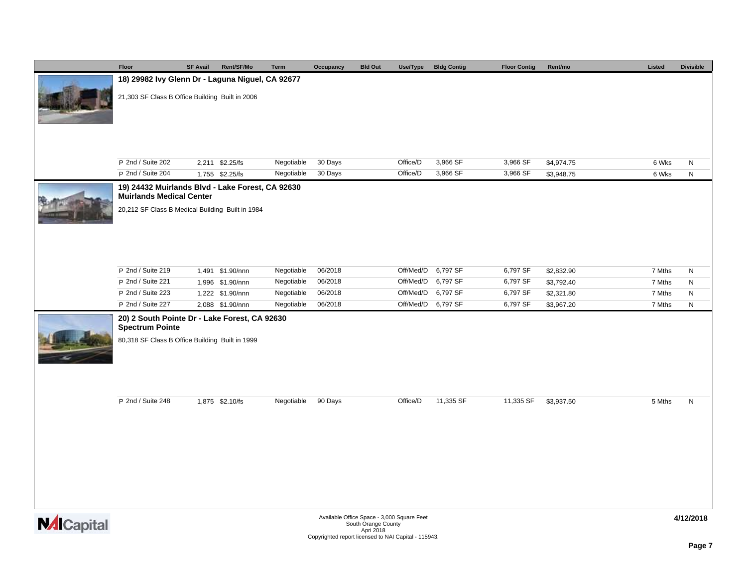| Floor                                                                                                                                   | <b>SF Avail</b> | Rent/SF/Mo                           | Term                     | Occupancy          | <b>Bld Out</b>                             | Use/Type               | <b>Bldg Contig</b>   | <b>Floor Contig</b>  | Rent/mo                  | Listed           | <b>Divisible</b> |
|-----------------------------------------------------------------------------------------------------------------------------------------|-----------------|--------------------------------------|--------------------------|--------------------|--------------------------------------------|------------------------|----------------------|----------------------|--------------------------|------------------|------------------|
| 18) 29982 lvy Glenn Dr - Laguna Niguel, CA 92677                                                                                        |                 |                                      |                          |                    |                                            |                        |                      |                      |                          |                  |                  |
| 21,303 SF Class B Office Building Built in 2006                                                                                         |                 |                                      |                          |                    |                                            |                        |                      |                      |                          |                  |                  |
|                                                                                                                                         |                 |                                      |                          |                    |                                            |                        |                      |                      |                          |                  |                  |
| P 2nd / Suite 202                                                                                                                       |                 | 2,211 \$2.25/fs                      | Negotiable               | 30 Days            |                                            | Office/D               | 3,966 SF             | 3,966 SF             | \$4,974.75               | 6 Wks            | ${\sf N}$        |
| P 2nd / Suite 204                                                                                                                       |                 | 1,755 \$2.25/fs                      | Negotiable               | 30 Days            |                                            | Office/D               | 3,966 SF             | 3,966 SF             | \$3,948.75               | 6 Wks            | ${\sf N}$        |
| 19) 24432 Muirlands Blvd - Lake Forest, CA 92630<br><b>Muirlands Medical Center</b><br>20,212 SF Class B Medical Building Built in 1984 |                 |                                      |                          |                    |                                            |                        |                      |                      |                          |                  |                  |
| P 2nd / Suite 219<br>P 2nd / Suite 221                                                                                                  |                 | 1,491 \$1.90/nnn<br>1,996 \$1.90/nnn | Negotiable<br>Negotiable | 06/2018<br>06/2018 |                                            | Off/Med/D<br>Off/Med/D | 6,797 SF<br>6,797 SF | 6,797 SF<br>6,797 SF | \$2,832.90<br>\$3,792.40 | 7 Mths<br>7 Mths | N<br>N           |
| P 2nd / Suite 223                                                                                                                       |                 | 1,222 \$1.90/nnn                     | Negotiable               | 06/2018            |                                            |                        | Off/Med/D 6,797 SF   | 6,797 SF             | \$2,321.80               | 7 Mths           | N                |
| P 2nd / Suite 227                                                                                                                       |                 | 2,088 \$1.90/nnn                     | Negotiable               | 06/2018            |                                            |                        | Off/Med/D 6,797 SF   | 6,797 SF             | \$3,967.20               | 7 Mths           | ${\sf N}$        |
| 20) 2 South Pointe Dr - Lake Forest, CA 92630<br><b>Spectrum Pointe</b><br>80,318 SF Class B Office Building Built in 1999              |                 |                                      |                          |                    |                                            |                        |                      |                      |                          |                  |                  |
| P 2nd / Suite 248                                                                                                                       |                 | 1,875 \$2.10/fs                      | Negotiable               | 90 Days            |                                            | Office/D               | 11,335 SF            | 11,335 SF            | \$3,937.50               | 5 Mths           | N                |
|                                                                                                                                         |                 |                                      |                          |                    | Available Office Space - 3,000 Square Feet |                        |                      |                      |                          |                  | 4/12/2018        |

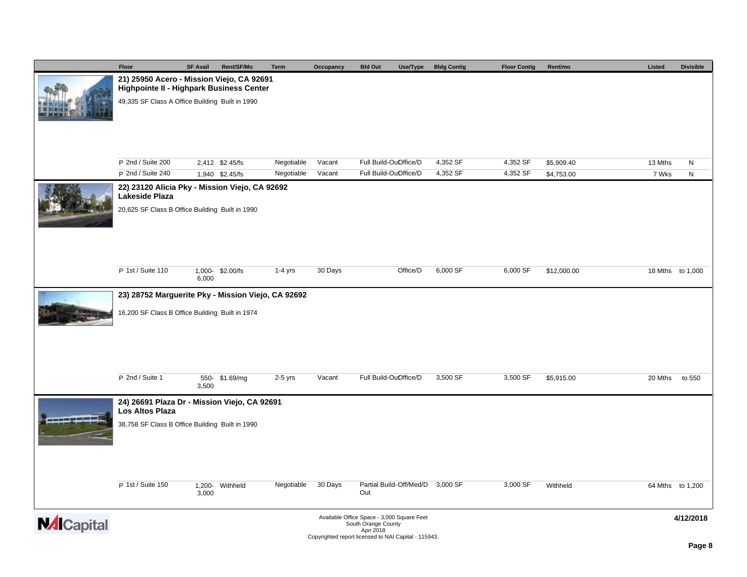|                    | Floor                                                            | <b>SF Avail</b> | Rent/SF/Mo                         | Term                     | Occupancy        | <b>Bld Out</b>                                                    | Use/Type | <b>Bldg Contig</b>   | <b>Floor Contig</b>  | Rent/mo                  | Listed           | <b>Divisible</b> |
|--------------------|------------------------------------------------------------------|-----------------|------------------------------------|--------------------------|------------------|-------------------------------------------------------------------|----------|----------------------|----------------------|--------------------------|------------------|------------------|
|                    | 21) 25950 Acero - Mission Viejo, CA 92691                        |                 |                                    |                          |                  |                                                                   |          |                      |                      |                          |                  |                  |
|                    | <b>Highpointe II - Highpark Business Center</b>                  |                 |                                    |                          |                  |                                                                   |          |                      |                      |                          |                  |                  |
|                    | 49,335 SF Class A Office Building Built in 1990                  |                 |                                    |                          |                  |                                                                   |          |                      |                      |                          |                  |                  |
|                    |                                                                  |                 |                                    |                          |                  |                                                                   |          |                      |                      |                          |                  |                  |
|                    |                                                                  |                 |                                    |                          |                  |                                                                   |          |                      |                      |                          |                  |                  |
|                    |                                                                  |                 |                                    |                          |                  |                                                                   |          |                      |                      |                          |                  |                  |
|                    |                                                                  |                 |                                    |                          |                  |                                                                   |          |                      |                      |                          |                  |                  |
|                    | P 2nd / Suite 200<br>P 2nd / Suite 240                           |                 | 2,412 \$2.45/fs<br>1,940 \$2.45/fs | Negotiable<br>Negotiable | Vacant<br>Vacant | Full Build-OuOffice/D<br>Full Build-OuOffice/D                    |          | 4,352 SF<br>4,352 SF | 4,352 SF<br>4,352 SF | \$5,909.40<br>\$4,753.00 | 13 Mths<br>7 Wks | N<br>N           |
|                    |                                                                  |                 |                                    |                          |                  |                                                                   |          |                      |                      |                          |                  |                  |
|                    | 22) 23120 Alicia Pky - Mission Viejo, CA 92692<br>Lakeside Plaza |                 |                                    |                          |                  |                                                                   |          |                      |                      |                          |                  |                  |
|                    | 20,625 SF Class B Office Building Built in 1990                  |                 |                                    |                          |                  |                                                                   |          |                      |                      |                          |                  |                  |
|                    |                                                                  |                 |                                    |                          |                  |                                                                   |          |                      |                      |                          |                  |                  |
|                    |                                                                  |                 |                                    |                          |                  |                                                                   |          |                      |                      |                          |                  |                  |
|                    |                                                                  |                 |                                    |                          |                  |                                                                   |          |                      |                      |                          |                  |                  |
|                    |                                                                  |                 |                                    |                          |                  |                                                                   |          |                      |                      |                          |                  |                  |
|                    | P 1st / Suite 110                                                |                 | 1,000-\$2.00/fs                    | $1-4$ yrs                | 30 Days          |                                                                   | Office/D | 6,000 SF             | 6,000 SF             | \$12,000.00              |                  | 18 Mths to 1,000 |
|                    |                                                                  | 6,000           |                                    |                          |                  |                                                                   |          |                      |                      |                          |                  |                  |
|                    | 23) 28752 Marguerite Pky - Mission Viejo, CA 92692               |                 |                                    |                          |                  |                                                                   |          |                      |                      |                          |                  |                  |
|                    |                                                                  |                 |                                    |                          |                  |                                                                   |          |                      |                      |                          |                  |                  |
|                    | 16,200 SF Class B Office Building Built in 1974                  |                 |                                    |                          |                  |                                                                   |          |                      |                      |                          |                  |                  |
|                    |                                                                  |                 |                                    |                          |                  |                                                                   |          |                      |                      |                          |                  |                  |
|                    |                                                                  |                 |                                    |                          |                  |                                                                   |          |                      |                      |                          |                  |                  |
|                    |                                                                  |                 |                                    |                          |                  |                                                                   |          |                      |                      |                          |                  |                  |
|                    |                                                                  |                 |                                    |                          |                  |                                                                   |          |                      |                      |                          |                  |                  |
|                    | P 2nd / Suite 1                                                  | 3,500           | 550- \$1.69/mg                     | $2-5$ yrs                | Vacant           | Full Build-OuOffice/D                                             |          | 3,500 SF             | 3,500 SF             | \$5,915.00               | 20 Mths          | to 550           |
|                    |                                                                  |                 |                                    |                          |                  |                                                                   |          |                      |                      |                          |                  |                  |
|                    | 24) 26691 Plaza Dr - Mission Viejo, CA 92691<br>Los Altos Plaza  |                 |                                    |                          |                  |                                                                   |          |                      |                      |                          |                  |                  |
|                    | 38,758 SF Class B Office Building Built in 1990                  |                 |                                    |                          |                  |                                                                   |          |                      |                      |                          |                  |                  |
|                    |                                                                  |                 |                                    |                          |                  |                                                                   |          |                      |                      |                          |                  |                  |
|                    |                                                                  |                 |                                    |                          |                  |                                                                   |          |                      |                      |                          |                  |                  |
|                    |                                                                  |                 |                                    |                          |                  |                                                                   |          |                      |                      |                          |                  |                  |
|                    |                                                                  |                 |                                    |                          |                  |                                                                   |          |                      |                      |                          |                  |                  |
|                    | P 1st / Suite 150                                                |                 | 1,200- Withheld                    | Negotiable               | 30 Days          | Partial Build-Off/Med/D 3,000 SF                                  |          |                      | 3,000 SF             | Withheld                 |                  | 64 Mths to 1,200 |
|                    |                                                                  | 3,000           |                                    |                          |                  | Out                                                               |          |                      |                      |                          |                  |                  |
|                    |                                                                  |                 |                                    |                          |                  |                                                                   |          |                      |                      |                          |                  |                  |
| <b>NAI</b> Capital |                                                                  |                 |                                    |                          |                  | Available Office Space - 3,000 Square Feet<br>South Orange County |          |                      |                      |                          |                  | 4/12/2018        |
|                    |                                                                  |                 |                                    |                          |                  | Apri 2018<br>Copyrighted report licensed to NAI Capital - 115943. |          |                      |                      |                          |                  |                  |